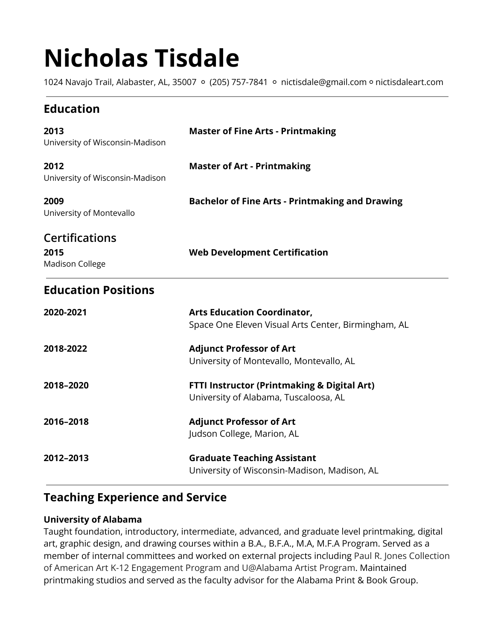# **Nicholas Tisdale**

1024 Navajo Trail, Alabaster, AL, 35007 ○ (205) 757-7841 ○ nictisdale@gmail.com ○ nictisdaleart.com

# **Education**

| 2013<br>University of Wisconsin-Madison                 | <b>Master of Fine Arts - Printmaking</b>                                                        |
|---------------------------------------------------------|-------------------------------------------------------------------------------------------------|
| 2012<br>University of Wisconsin-Madison                 | <b>Master of Art - Printmaking</b>                                                              |
| 2009<br>University of Montevallo                        | <b>Bachelor of Fine Arts - Printmaking and Drawing</b>                                          |
| <b>Certifications</b><br>2015<br><b>Madison College</b> | <b>Web Development Certification</b>                                                            |
| <b>Education Positions</b>                              |                                                                                                 |
| 2020-2021                                               | <b>Arts Education Coordinator,</b><br>Space One Eleven Visual Arts Center, Birmingham, AL       |
| 2018-2022                                               | <b>Adjunct Professor of Art</b><br>University of Montevallo, Montevallo, AL                     |
| 2018-2020                                               | <b>FTTI Instructor (Printmaking &amp; Digital Art)</b><br>University of Alabama, Tuscaloosa, AL |
| 2016-2018                                               | <b>Adjunct Professor of Art</b><br>Judson College, Marion, AL                                   |
| 2012-2013                                               | <b>Graduate Teaching Assistant</b><br>University of Wisconsin-Madison, Madison, AL              |

# **Teaching Experience and Service**

## **University of Alabama**

Taught foundation, introductory, intermediate, advanced, and graduate level printmaking, digital art, graphic design, and drawing courses within a B.A., B.F.A., M.A, M.F.A Program. Served as a member of internal committees and worked on external projects including Paul R. Jones Collection of American Art K-12 Engagement Program and U@Alabama Artist Program. Maintained printmaking studios and served as the faculty advisor for the Alabama Print & Book Group.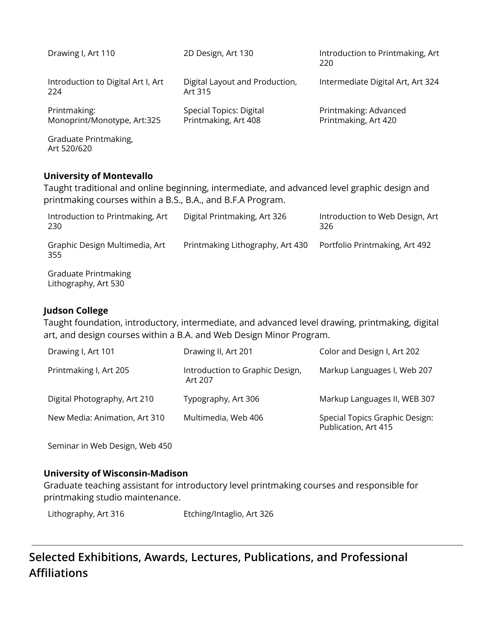| Drawing I, Art 110                          | 2D Design, Art 130                              | Introduction to Printmaking, Art<br>220       |
|---------------------------------------------|-------------------------------------------------|-----------------------------------------------|
| Introduction to Digital Art I, Art<br>224   | Digital Layout and Production,<br>Art 315       | Intermediate Digital Art, Art 324             |
| Printmaking:<br>Monoprint/Monotype, Art:325 | Special Topics: Digital<br>Printmaking, Art 408 | Printmaking: Advanced<br>Printmaking, Art 420 |
| Graduate Printmaking,<br>Art 520/620        |                                                 |                                               |

## **University of Montevallo**

Taught traditional and online beginning, intermediate, and advanced level graphic design and printmaking courses within a B.S., B.A., and B.F.A Program.

| Introduction to Printmaking, Art<br>230             | Digital Printmaking, Art 326     | Introduction to Web Design, Art<br>326 |
|-----------------------------------------------------|----------------------------------|----------------------------------------|
| Graphic Design Multimedia, Art<br>355               | Printmaking Lithography, Art 430 | Portfolio Printmaking, Art 492         |
| <b>Graduate Printmaking</b><br>Lithography, Art 530 |                                  |                                        |

## **Judson College**

Taught foundation, introductory, intermediate, and advanced level drawing, printmaking, digital art, and design courses within a B.A. and Web Design Minor Program.

| Drawing I, Art 101            | Drawing II, Art 201                        | Color and Design I, Art 202                            |
|-------------------------------|--------------------------------------------|--------------------------------------------------------|
| Printmaking I, Art 205        | Introduction to Graphic Design,<br>Art 207 | Markup Languages I, Web 207                            |
| Digital Photography, Art 210  | Typography, Art 306                        | Markup Languages II, WEB 307                           |
| New Media: Animation, Art 310 | Multimedia, Web 406                        | Special Topics Graphic Design:<br>Publication, Art 415 |

Seminar in Web Design, Web 450

## **University of Wisconsin-Madison**

Graduate teaching assistant for introductory level printmaking courses and responsible for printmaking studio maintenance.

Lithography, Art 316 Etching/Intaglio, Art 326

# **Selected Exhibitions, Awards, Lectures, Publications, and Professional Affiliations**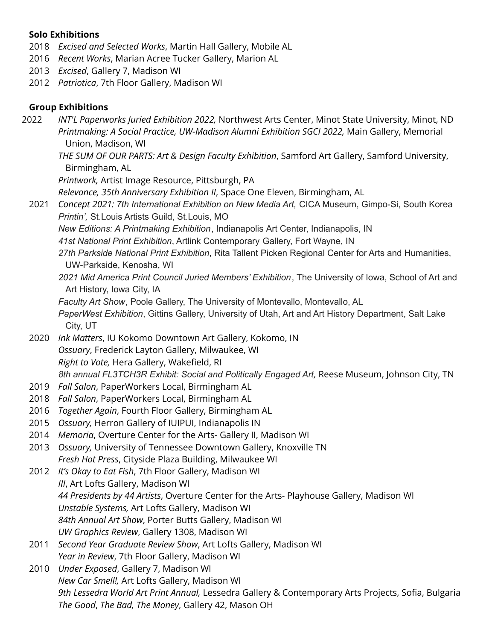## **Solo Exhibitions**

- 2018 *Excised and Selected Works*, Martin Hall Gallery, Mobile AL
- 2016 *Recent Works*, Marian Acree Tucker Gallery, Marion AL
- 2013 *Excised*, Gallery 7, Madison WI
- 2012 *Patriotica*, 7th Floor Gallery, Madison WI

## **Group Exhibitions**

- 2022 *INT'L Paperworks Juried Exhibition 2022,* Northwest Arts Center, Minot State University, Minot, ND *Printmaking: A Social Practice, UW-Madison Alumni Exhibition SGCI 2022,* Main Gallery, Memorial Union, Madison, WI
	- *THE SUM OF OUR PARTS: Art & Design Faculty Exhibition*, Samford Art Gallery, Samford University, Birmingham, AL

*Printwork,* Artist Image Resource, Pittsburgh, PA

*Relevance, 35th Anniversary Exhibition II*, Space One Eleven, Birmingham, AL

- 2021 *Concept 2021: 7th International Exhibition on New Media Art,* CICA Museum, Gimpo-Si, South Korea *Printin',* St.Louis Artists Guild, St.Louis, MO
	- *New Editions: A Printmaking Exhibition*, Indianapolis Art Center, Indianapolis, IN
	- *41st National Print Exhibition*, Artlink Contemporary Gallery, Fort Wayne, IN
	- *27th Parkside National Print Exhibition*, Rita Tallent Picken Regional Center for Arts and Humanities, UW-Parkside, Kenosha, WI
	- *2021 Mid America Print Council Juried Members' Exhibition*, The University of Iowa, School of Art and Art History, Iowa City, IA
	- *Faculty Art Show*, Poole Gallery, The University of Montevallo, Montevallo, AL
	- *PaperWest Exhibition*, Gittins Gallery, University of Utah, Art and Art History Department, Salt Lake City, UT
- 2020 *Ink Matters*, IU Kokomo Downtown Art Gallery, Kokomo, IN *Ossuary*, Frederick Layton Gallery, Milwaukee, WI *Right to Vote,* Hera Gallery, Wakefield, RI *8th annual FL3TCH3R Exhibit: Social and Politically Engaged Art,* Reese Museum, Johnson City, TN
- 2019 *Fall Salon*, PaperWorkers Local, Birmingham AL
- 2018 *Fall Salon*, PaperWorkers Local, Birmingham AL
- 2016 *Together Again*, Fourth Floor Gallery, Birmingham AL
- 2015 *Ossuary,* Herron Gallery of IUIPUI, Indianapolis IN
- 2014 *Memoria*, Overture Center for the Arts- Gallery II, Madison WI
- 2013 *Ossuary,* University of Tennessee Downtown Gallery, Knoxville TN *Fresh Hot Press*, Cityside Plaza Building, Milwaukee WI
- 2012 *It's Okay to Eat Fish*, 7th Floor Gallery, Madison WI *III*, Art Lofts Gallery, Madison WI *44 Presidents by 44 Artists*, Overture Center for the Arts- Playhouse Gallery, Madison WI *Unstable Systems,* Art Lofts Gallery, Madison WI *84th Annual Art Show*, Porter Butts Gallery, Madison WI *UW Graphics Review*, Gallery 1308, Madison WI
- 2011 *Second Year Graduate Review Show*, Art Lofts Gallery, Madison WI *Year in Review*, 7th Floor Gallery, Madison WI
- 2010 *Under Exposed*, Gallery 7, Madison WI *New Car Smell!,* Art Lofts Gallery, Madison WI *9th Lessedra World Art Print Annual,* Lessedra Gallery & Contemporary Arts Projects, Sofia, Bulgaria *The Good*, *The Bad, The Money*, Gallery 42, Mason OH